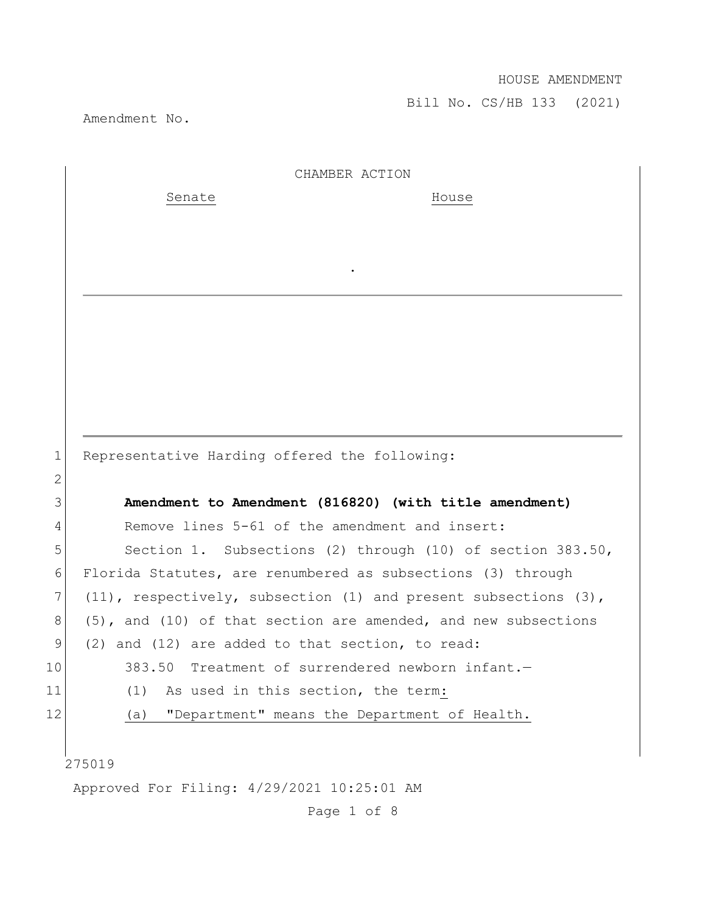Amendment No.

|                 | CHAMBER ACTION                                                          |
|-----------------|-------------------------------------------------------------------------|
|                 | Senate<br>House                                                         |
|                 |                                                                         |
|                 |                                                                         |
|                 |                                                                         |
|                 |                                                                         |
|                 |                                                                         |
|                 |                                                                         |
|                 |                                                                         |
|                 |                                                                         |
|                 |                                                                         |
| $\mathbf 1$     | Representative Harding offered the following:                           |
| $\mathbf{2}$    |                                                                         |
| 3               | Amendment to Amendment (816820) (with title amendment)                  |
| 4               | Remove lines 5-61 of the amendment and insert:                          |
| 5               | Section 1. Subsections (2) through (10) of section 383.50,              |
| 6               | Florida Statutes, are renumbered as subsections (3) through             |
| 7               | $(11)$ , respectively, subsection $(1)$ and present subsections $(3)$ , |
| 8               | $(5)$ , and $(10)$ of that section are amended, and new subsections     |
| 9               | (2) and (12) are added to that section, to read:                        |
| 10 <sub>1</sub> | 383.50 Treatment of surrendered newborn infant.-                        |
| 11              | (1)<br>As used in this section, the term:                               |
| 12              | "Department" means the Department of Health.<br>(a)                     |
|                 |                                                                         |
|                 | 275019                                                                  |
|                 | Approved For Filing: 4/29/2021 10:25:01 AM                              |

Page 1 of 8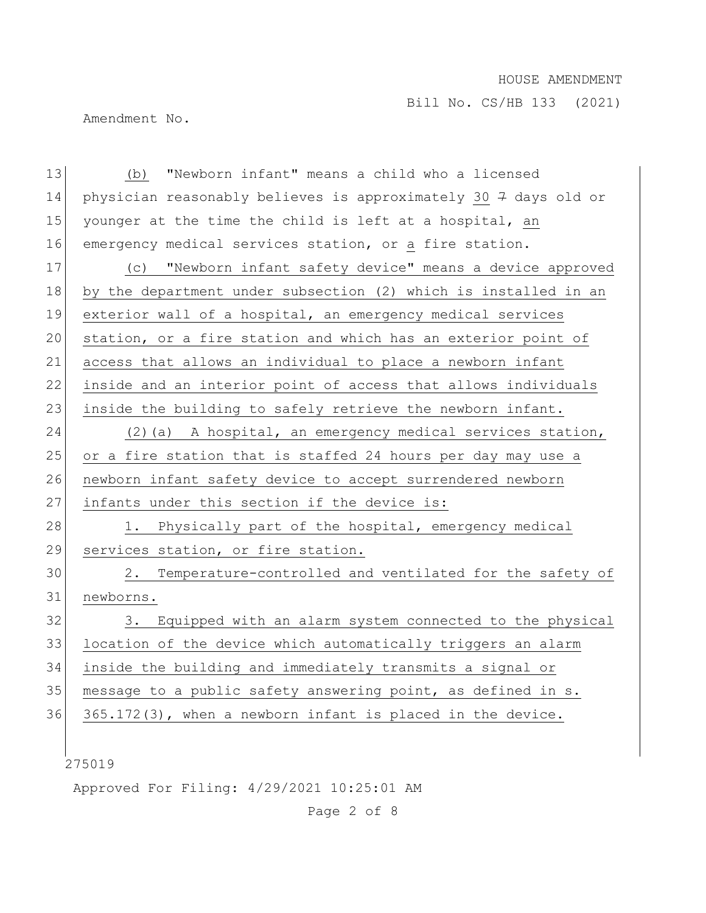Bill No. CS/HB 133 (2021)

Amendment No.

275019 13 (b) "Newborn infant" means a child who a licensed 14 physician reasonably believes is approximately 30  $7$  days old or 15 younger at the time the child is left at a hospital, an 16 emergency medical services station, or a fire station. 17 (c) "Newborn infant safety device" means a device approved 18 by the department under subsection (2) which is installed in an 19 exterior wall of a hospital, an emergency medical services 20 station, or a fire station and which has an exterior point of 21 access that allows an individual to place a newborn infant 22 inside and an interior point of access that allows individuals 23 inside the building to safely retrieve the newborn infant. 24 (2)(a) A hospital, an emergency medical services station, 25 or a fire station that is staffed 24 hours per day may use a 26 newborn infant safety device to accept surrendered newborn 27 infants under this section if the device is: 28 1. Physically part of the hospital, emergency medical 29 services station, or fire station. 30 2. Temperature-controlled and ventilated for the safety of 31 newborns. 32 3. Equipped with an alarm system connected to the physical 33 location of the device which automatically triggers an alarm 34 inside the building and immediately transmits a signal or 35 message to a public safety answering point, as defined in s. 36 365.172(3), when a newborn infant is placed in the device.

Approved For Filing: 4/29/2021 10:25:01 AM

Page 2 of 8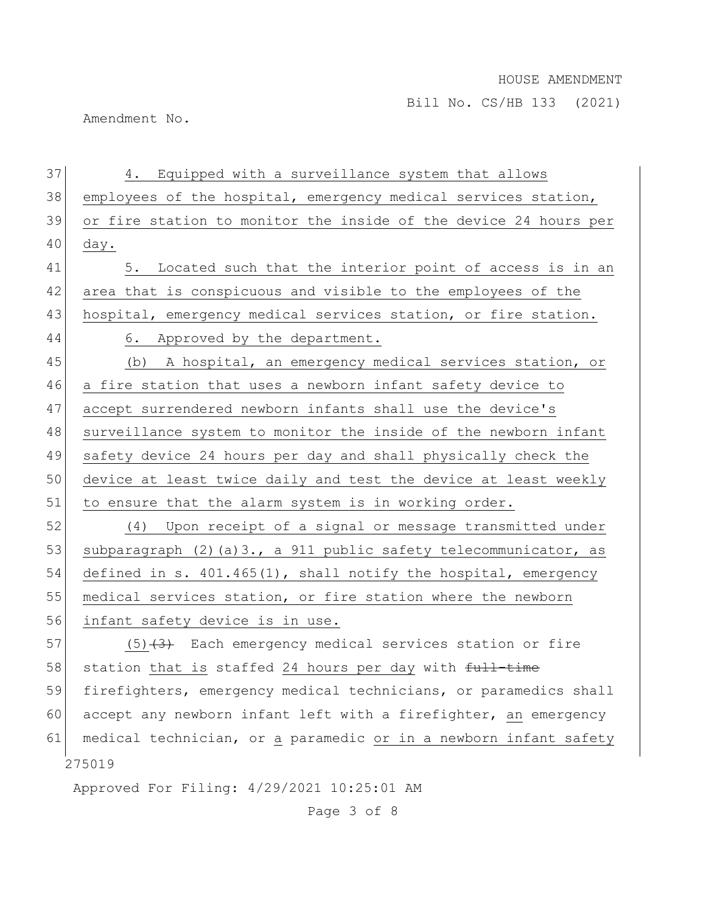Amendment No.

275019 Approved For Filing: 4/29/2021 10:25:01 AM 37 4. Equipped with a surveillance system that allows 38 employees of the hospital, emergency medical services station, 39 or fire station to monitor the inside of the device 24 hours per  $40$  day. 41 5. Located such that the interior point of access is in an 42 area that is conspicuous and visible to the employees of the 43 hospital, emergency medical services station, or fire station. 44 6. Approved by the department. 45 (b) A hospital, an emergency medical services station, or 46 a fire station that uses a newborn infant safety device to 47 accept surrendered newborn infants shall use the device's 48 surveillance system to monitor the inside of the newborn infant 49 safety device 24 hours per day and shall physically check the 50 device at least twice daily and test the device at least weekly 51 to ensure that the alarm system is in working order. 52 (4) Upon receipt of a signal or message transmitted under 53 subparagraph (2)(a)3., a 911 public safety telecommunicator, as 54 defined in s. 401.465(1), shall notify the hospital, emergency 55 medical services station, or fire station where the newborn 56 infant safety device is in use.  $57$  (5)<del>(3)</del> Each emergency medical services station or fire 58 station that is staffed 24 hours per day with  $f_{\text{ull}-\text{time}}$ 59 firefighters, emergency medical technicians, or paramedics shall 60 accept any newborn infant left with a firefighter, an emergency 61 medical technician, or a paramedic or in a newborn infant safety

Page 3 of 8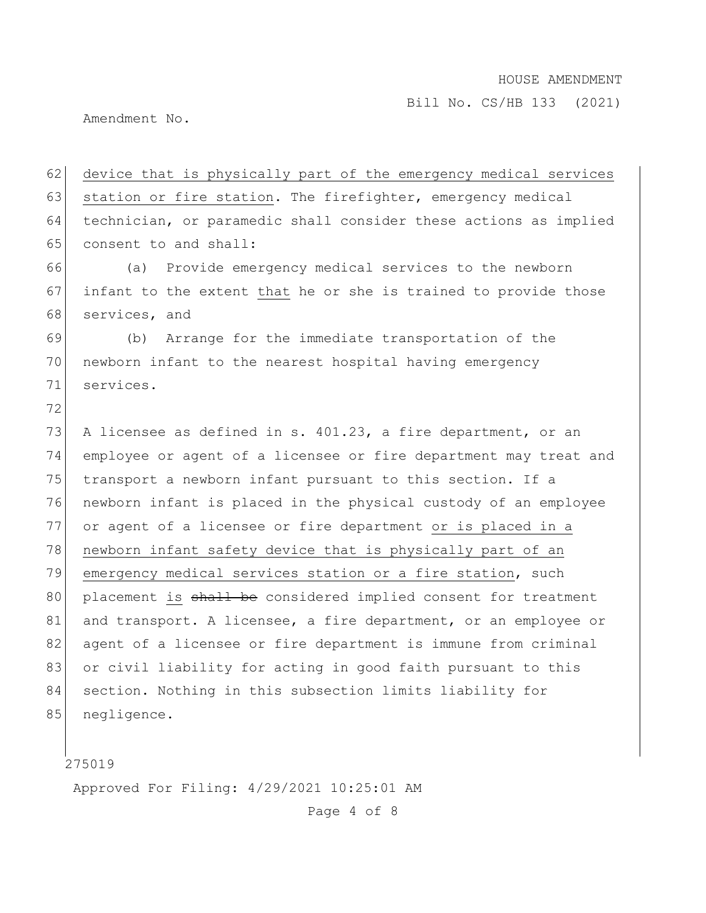Amendment No.

62 device that is physically part of the emergency medical services 63 station or fire station. The firefighter, emergency medical 64 technician, or paramedic shall consider these actions as implied 65 consent to and shall: 66 (a) Provide emergency medical services to the newborn 67 infant to the extent that he or she is trained to provide those 68 services, and 69 (b) Arrange for the immediate transportation of the 70 newborn infant to the nearest hospital having emergency 71 services. 72 73 A licensee as defined in s. 401.23, a fire department, or an 74 employee or agent of a licensee or fire department may treat and 75 transport a newborn infant pursuant to this section. If a 76 newborn infant is placed in the physical custody of an employee 77 or agent of a licensee or fire department or is placed in a 78 newborn infant safety device that is physically part of an 79 emergency medical services station or a fire station, such 80 placement is shall be considered implied consent for treatment 81 and transport. A licensee, a fire department, or an employee or 82 agent of a licensee or fire department is immune from criminal 83 or civil liability for acting in good faith pursuant to this 84 section. Nothing in this subsection limits liability for 85 negligence.

275019

Approved For Filing: 4/29/2021 10:25:01 AM

Page 4 of 8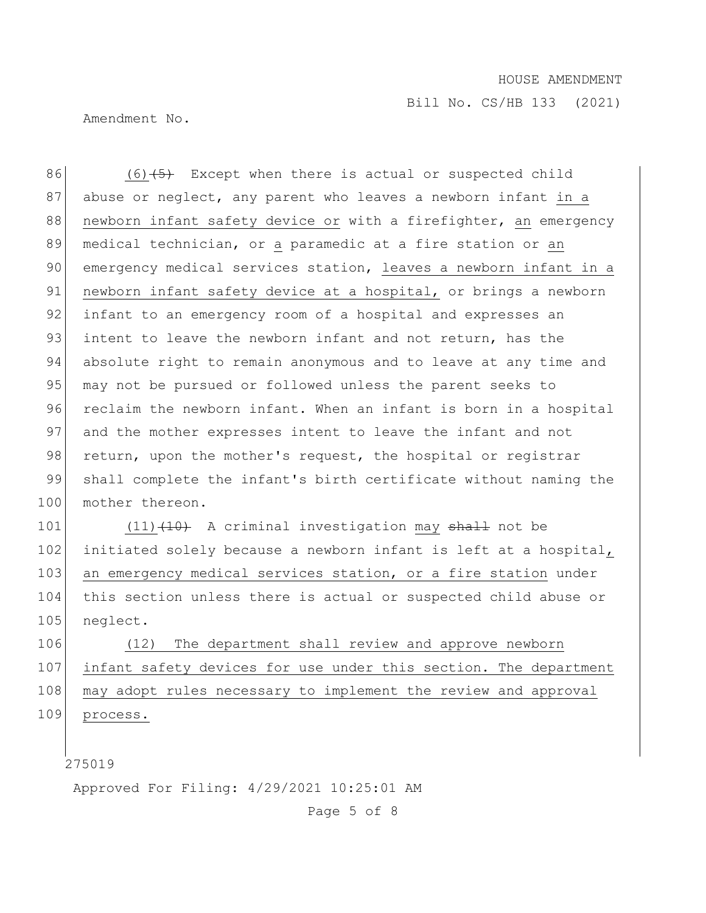Amendment No.

86 (6)<del>(5)</del> Except when there is actual or suspected child 87 abuse or neglect, any parent who leaves a newborn infant in a 88 newborn infant safety device or with a firefighter, an emergency 89 medical technician, or a paramedic at a fire station or an 90 emergency medical services station, leaves a newborn infant in a 91 newborn infant safety device at a hospital, or brings a newborn 92 infant to an emergency room of a hospital and expresses an 93 intent to leave the newborn infant and not return, has the 94 absolute right to remain anonymous and to leave at any time and 95 may not be pursued or followed unless the parent seeks to 96 reclaim the newborn infant. When an infant is born in a hospital 97 and the mother expresses intent to leave the infant and not 98 return, upon the mother's request, the hospital or registrar 99 shall complete the infant's birth certificate without naming the 100 mother thereon.

101 (11) (10) A criminal investigation may shall not be 102 initiated solely because a newborn infant is left at a hospital, 103 an emergency medical services station, or a fire station under 104 this section unless there is actual or suspected child abuse or 105 neglect.

106 (12) The department shall review and approve newborn 107 infant safety devices for use under this section. The department 108 may adopt rules necessary to implement the review and approval 109 process.

275019

Approved For Filing: 4/29/2021 10:25:01 AM

Page 5 of 8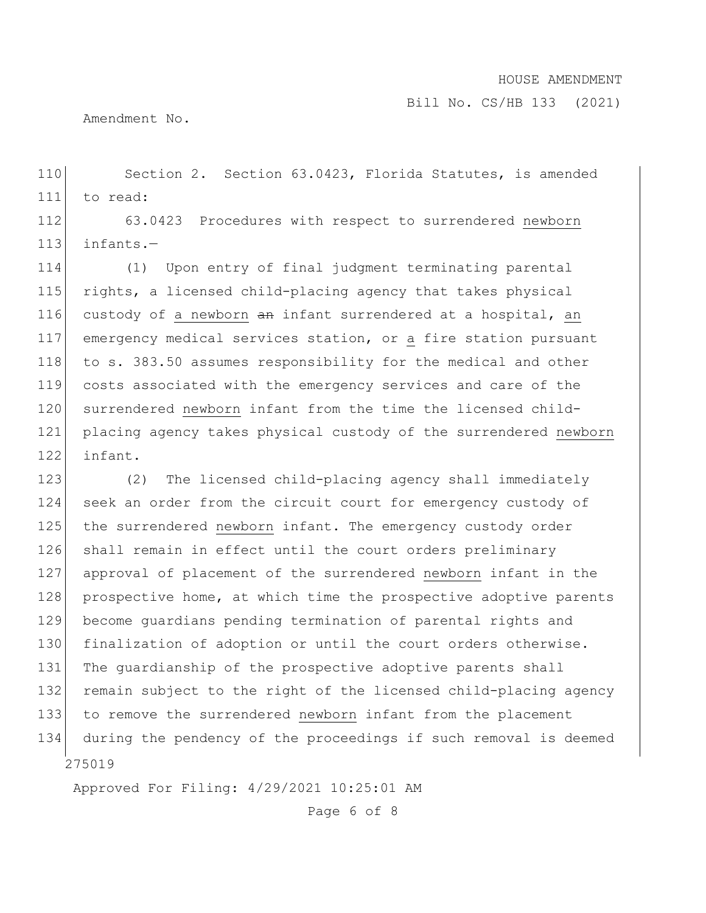Bill No. CS/HB 133 (2021)

Amendment No.

110 Section 2. Section 63.0423, Florida Statutes, is amended 111 to read:

112 63.0423 Procedures with respect to surrendered newborn  $113$  infants. $-$ 

114 (1) Upon entry of final judgment terminating parental 115 rights, a licensed child-placing agency that takes physical 116 custody of a newborn an infant surrendered at a hospital, an 117 emergency medical services station, or a fire station pursuant 118 to s. 383.50 assumes responsibility for the medical and other 119 costs associated with the emergency services and care of the 120 surrendered newborn infant from the time the licensed child-121 placing agency takes physical custody of the surrendered newborn 122 infant.

275019 123 (2) The licensed child-placing agency shall immediately 124 seek an order from the circuit court for emergency custody of 125 the surrendered newborn infant. The emergency custody order 126 shall remain in effect until the court orders preliminary 127 approval of placement of the surrendered newborn infant in the 128 prospective home, at which time the prospective adoptive parents 129 become guardians pending termination of parental rights and 130 finalization of adoption or until the court orders otherwise. 131 The guardianship of the prospective adoptive parents shall 132 remain subject to the right of the licensed child-placing agency 133 to remove the surrendered newborn infant from the placement 134 during the pendency of the proceedings if such removal is deemed

Approved For Filing: 4/29/2021 10:25:01 AM

Page 6 of 8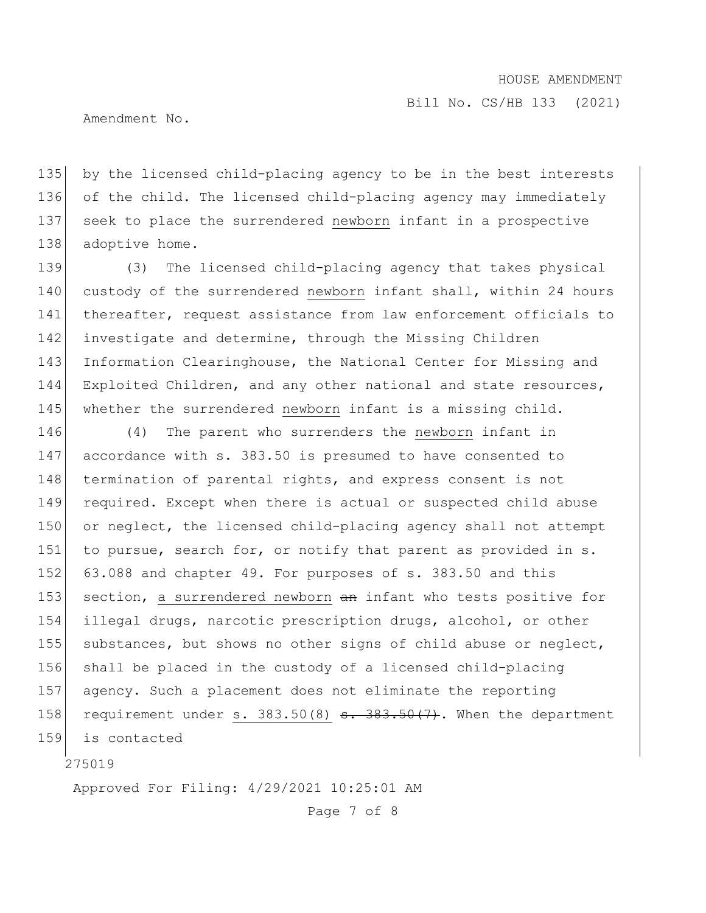Bill No. CS/HB 133 (2021)

Amendment No.

 by the licensed child-placing agency to be in the best interests of the child. The licensed child-placing agency may immediately seek to place the surrendered newborn infant in a prospective 138 adoptive home.

139 (3) The licensed child-placing agency that takes physical 140 custody of the surrendered newborn infant shall, within 24 hours 141 thereafter, request assistance from law enforcement officials to 142 investigate and determine, through the Missing Children 143 Information Clearinghouse, the National Center for Missing and 144 Exploited Children, and any other national and state resources, 145 whether the surrendered newborn infant is a missing child.

146 (4) The parent who surrenders the newborn infant in 147 accordance with s. 383.50 is presumed to have consented to 148 termination of parental rights, and express consent is not 149 required. Except when there is actual or suspected child abuse 150 or neglect, the licensed child-placing agency shall not attempt 151 to pursue, search for, or notify that parent as provided in s. 152 63.088 and chapter 49. For purposes of s. 383.50 and this 153 section, a surrendered newborn an infant who tests positive for 154 illegal drugs, narcotic prescription drugs, alcohol, or other 155 substances, but shows no other signs of child abuse or neglect, 156 shall be placed in the custody of a licensed child-placing 157 agency. Such a placement does not eliminate the reporting 158 requirement under s.  $383.50(8)$  s.  $383.50(7)$ . When the department 159 is contacted

275019

Approved For Filing: 4/29/2021 10:25:01 AM

Page 7 of 8